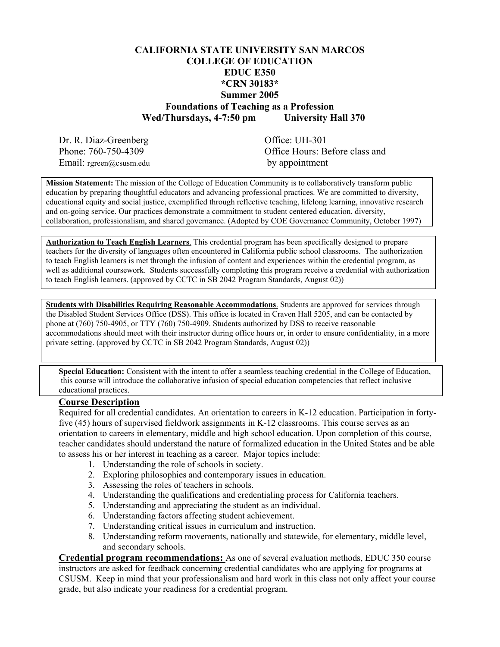### **CALIFORNIA STATE UNIVERSITY SAN MARCOS COLLEGE OF EDUCATION EDUC E350 \*CRN 30183\* Summer 2005 Foundations of Teaching as a Profession Wed/Thursdays, 4-7:50 pm University Hall 370**

Dr. R. Diaz-Greenberg Office: UH-301 Email: rgreen@csusm.edu by appointment

Phone: 760-750-4309 Office Hours: Before class and

**Mission Statement:** The mission of the College of Education Community is to collaboratively transform public education by preparing thoughtful educators and advancing professional practices. We are committed to diversity, educational equity and social justice, exemplified through reflective teaching, lifelong learning, innovative research and on-going service. Our practices demonstrate a commitment to student centered education, diversity, collaboration, professionalism, and shared governance. (Adopted by COE Governance Community, October 1997)

**Authorization to Teach English Learners**. This credential program has been specifically designed to prepare teachers for the diversity of languages often encountered in California public school classrooms. The authorization to teach English learners is met through the infusion of content and experiences within the credential program, as well as additional coursework. Students successfully completing this program receive a credential with authorization to teach English learners. (approved by CCTC in SB 2042 Program Standards, August 02))

**Students with Disabilities Requiring Reasonable Accommodations.** Students are approved for services through the Disabled Student Services Office (DSS). This office is located in Craven Hall 5205, and can be contacted by phone at (760) 750-4905, or TTY (760) 750-4909. Students authorized by DSS to receive reasonable accommodations should meet with their instructor during office hours or, in order to ensure confidentiality, in a more private setting. (approved by CCTC in SB 2042 Program Standards, August 02))

**Special Education:** Consistent with the intent to offer a seamless teaching credential in the College of Education, this course will introduce the collaborative infusion of special education competencies that reflect inclusive educational practices.

#### **Course Description**

Required for all credential candidates. An orientation to careers in K-12 education. Participation in fortyfive (45) hours of supervised fieldwork assignments in K-12 classrooms. This course serves as an orientation to careers in elementary, middle and high school education. Upon completion of this course, teacher candidates should understand the nature of formalized education in the United States and be able to assess his or her interest in teaching as a career. Major topics include:

- 1. Understanding the role of schools in society.
- 2. Exploring philosophies and contemporary issues in education.
- 3. Assessing the roles of teachers in schools.
- 4. Understanding the qualifications and credentialing process for California teachers.
- 5. Understanding and appreciating the student as an individual.
- 6. Understanding factors affecting student achievement.
- 7. Understanding critical issues in curriculum and instruction.
- 8. Understanding reform movements, nationally and statewide, for elementary, middle level, and secondary schools.

**Credential program recommendations:** As one of several evaluation methods, EDUC 350 course instructors are asked for feedback concerning credential candidates who are applying for programs at CSUSM. Keep in mind that your professionalism and hard work in this class not only affect your course grade, but also indicate your readiness for a credential program.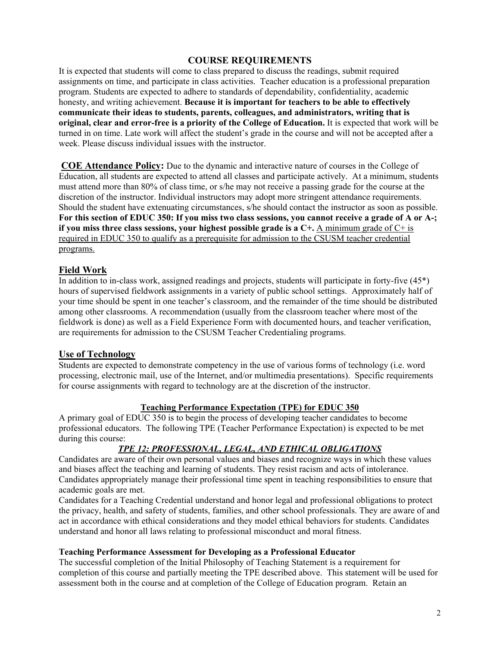### **COURSE REQUIREMENTS**

It is expected that students will come to class prepared to discuss the readings, submit required assignments on time, and participate in class activities. Teacher education is a professional preparation program. Students are expected to adhere to standards of dependability, confidentiality, academic honesty, and writing achievement. **Because it is important for teachers to be able to effectively communicate their ideas to students, parents, colleagues, and administrators, writing that is original, clear and error-free is a priority of the College of Education.** It is expected that work will be turned in on time. Late work will affect the student's grade in the course and will not be accepted after a week. Please discuss individual issues with the instructor.

**COE Attendance Policy:** Due to the dynamic and interactive nature of courses in the College of Education, all students are expected to attend all classes and participate actively. At a minimum, students must attend more than 80% of class time, or s/he may not receive a passing grade for the course at the discretion of the instructor. Individual instructors may adopt more stringent attendance requirements. Should the student have extenuating circumstances, s/he should contact the instructor as soon as possible. **For this section of EDUC 350: If you miss two class sessions, you cannot receive a grade of A or A-; if you miss three class sessions, your highest possible grade is a C+.** A minimum grade of C+ is required in EDUC 350 to qualify as a prerequisite for admission to the CSUSM teacher credential programs.

### **Field Work**

In addition to in-class work, assigned readings and projects, students will participate in forty-five (45\*) hours of supervised fieldwork assignments in a variety of public school settings. Approximately half of your time should be spent in one teacher's classroom, and the remainder of the time should be distributed among other classrooms. A recommendation (usually from the classroom teacher where most of the fieldwork is done) as well as a Field Experience Form with documented hours, and teacher verification, are requirements for admission to the CSUSM Teacher Credentialing programs.

### **Use of Technology**

Students are expected to demonstrate competency in the use of various forms of technology (i.e. word processing, electronic mail, use of the Internet, and/or multimedia presentations). Specific requirements for course assignments with regard to technology are at the discretion of the instructor.

#### **Teaching Performance Expectation (TPE) for EDUC 350**

A primary goal of EDUC 350 is to begin the process of developing teacher candidates to become professional educators. The following TPE (Teacher Performance Expectation) is expected to be met during this course:

### *TPE 12: PROFESSIONAL, LEGAL, AND ETHICAL OBLIGATIONS*

Candidates are aware of their own personal values and biases and recognize ways in which these values and biases affect the teaching and learning of students. They resist racism and acts of intolerance. Candidates appropriately manage their professional time spent in teaching responsibilities to ensure that academic goals are met.

Candidates for a Teaching Credential understand and honor legal and professional obligations to protect the privacy, health, and safety of students, families, and other school professionals. They are aware of and act in accordance with ethical considerations and they model ethical behaviors for students. Candidates understand and honor all laws relating to professional misconduct and moral fitness.

#### **Teaching Performance Assessment for Developing as a Professional Educator**

The successful completion of the Initial Philosophy of Teaching Statement is a requirement for completion of this course and partially meeting the TPE described above. This statement will be used for assessment both in the course and at completion of the College of Education program. Retain an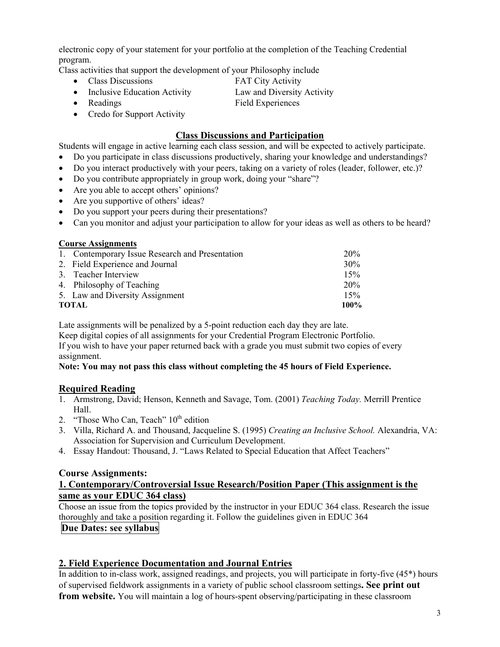electronic copy of your statement for your portfolio at the completion of the Teaching Credential program.

Class activities that support the development of your Philosophy include

- Class Discussions **FAT City Activity**
- Inclusive Education Activity Law and Diversity Activity
- Readings Field Experiences
- Credo for Support Activity

### **Class Discussions and Participation**

Students will engage in active learning each class session, and will be expected to actively participate.

- Do you participate in class discussions productively, sharing your knowledge and understandings?
- Do you interact productively with your peers, taking on a variety of roles (leader, follower, etc.)?
- Do you contribute appropriately in group work, doing your "share"?
- Are you able to accept others' opinions?
- Are you supportive of others' ideas?
- Do you support your peers during their presentations?
- Can you monitor and adjust your participation to allow for your ideas as well as others to be heard?

| 1. Contemporary Issue Research and Presentation | <b>20%</b> |
|-------------------------------------------------|------------|
| 2. Field Experience and Journal                 | $30\%$     |
| 3. Teacher Interview                            | 15%        |
| 4. Philosophy of Teaching                       | 20%        |
| 5. Law and Diversity Assignment                 | 15%        |
| TOTAL                                           |            |

Late assignments will be penalized by a 5-point reduction each day they are late.

Keep digital copies of all assignments for your Credential Program Electronic Portfolio. If you wish to have your paper returned back with a grade you must submit two copies of every assignment.

#### **Note: You may not pass this class without completing the 45 hours of Field Experience.**

### **Required Reading**

- 1. Armstrong, David; Henson, Kenneth and Savage, Tom. (2001) *Teaching Today.* Merrill Prentice Hall.
- 2. "Those Who Can, Teach"  $10<sup>th</sup>$  edition
- 3. Villa, Richard A. and Thousand, Jacqueline S. (1995) *Creating an Inclusive School.* Alexandria, VA: Association for Supervision and Curriculum Development.
- 4. Essay Handout: Thousand, J. "Laws Related to Special Education that Affect Teachers"

### **Course Assignments:**

#### **1. Contemporary/Controversial Issue Research/Position Paper (This assignment is the same as your EDUC 364 class)**

Choose an issue from the topics provided by the instructor in your EDUC 364 class. Research the issue thoroughly and take a position regarding it. Follow the guidelines given in EDUC 364

### **Due Dates: see syllabus**

## **2. Field Experience Documentation and Journal Entries**

In addition to in-class work, assigned readings, and projects, you will participate in forty-five (45\*) hours of supervised fieldwork assignments in a variety of public school classroom settings**. See print out from website.** You will maintain a log of hours-spent observing/participating in these classroom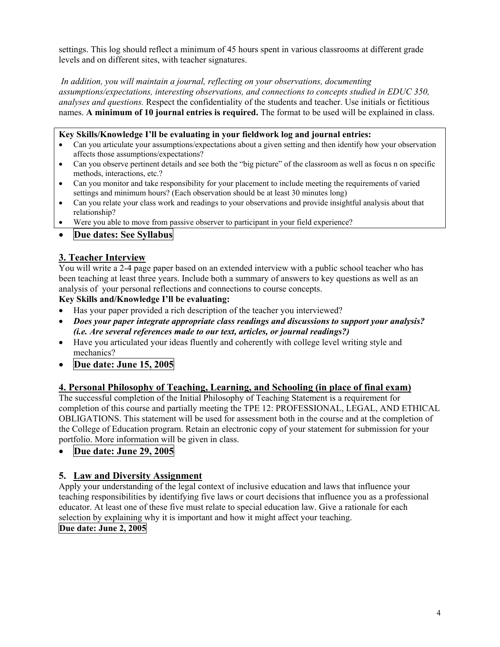settings. This log should reflect a minimum of 45 hours spent in various classrooms at different grade levels and on different sites, with teacher signatures.

*In addition, you will maintain a journal, reflecting on your observations, documenting assumptions/expectations, interesting observations, and connections to concepts studied in EDUC 350, analyses and questions.* Respect the confidentiality of the students and teacher. Use initials or fictitious names. **A minimum of 10 journal entries is required.** The format to be used will be explained in class.

### **Key Skills/Knowledge I'll be evaluating in your fieldwork log and journal entries:**

- Can you articulate your assumptions/expectations about a given setting and then identify how your observation affects those assumptions/expectations?
- Can you observe pertinent details and see both the "big picture" of the classroom as well as focus n on specific methods, interactions, etc.?
- Can you monitor and take responsibility for your placement to include meeting the requirements of varied settings and minimum hours? (Each observation should be at least 30 minutes long)
- Can you relate your class work and readings to your observations and provide insightful analysis about that relationship?
- Were you able to move from passive observer to participant in your field experience?
- **Due dates: See Syllabus**

## **3. Teacher Interview**

You will write a 2-4 page paper based on an extended interview with a public school teacher who has been teaching at least three years. Include both a summary of answers to key questions as well as an analysis of your personal reflections and connections to course concepts.

### **Key Skills and/Knowledge I'll be evaluating:**

- Has your paper provided a rich description of the teacher you interviewed?
- *Does your paper integrate appropriate class readings and discussions to support your analysis? (i.e. Are several references made to our text, articles, or journal readings?)*
- Have you articulated your ideas fluently and coherently with college level writing style and mechanics?
- **Due date: June 15, 2005**

## **4. Personal Philosophy of Teaching, Learning, and Schooling (in place of final exam)**

The successful completion of the Initial Philosophy of Teaching Statement is a requirement for completion of this course and partially meeting the TPE 12: PROFESSIONAL, LEGAL, AND ETHICAL OBLIGATIONS. This statement will be used for assessment both in the course and at the completion of the College of Education program. Retain an electronic copy of your statement for submission for your portfolio. More information will be given in class.

• **Due date: June 29, 2005** 

## **5. Law and Diversity Assignment**

Apply your understanding of the legal context of inclusive education and laws that influence your teaching responsibilities by identifying five laws or court decisions that influence you as a professional educator. At least one of these five must relate to special education law. Give a rationale for each selection by explaining why it is important and how it might affect your teaching. **Due date: June 2, 2005**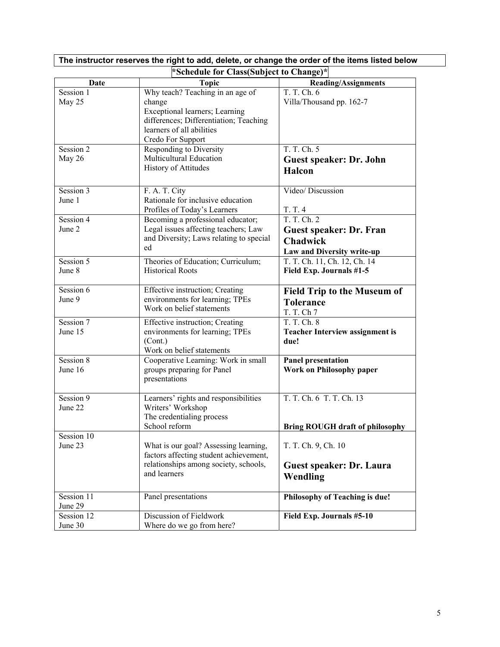| *Schedule for Class(Subject to Change)* |                                                                                                       |                                                       |  |  |
|-----------------------------------------|-------------------------------------------------------------------------------------------------------|-------------------------------------------------------|--|--|
| Date                                    | <b>Topic</b>                                                                                          | <b>Reading/Assignments</b>                            |  |  |
| Session 1<br>May 25                     | Why teach? Teaching in an age of<br>change                                                            | T. T. Ch. 6<br>Villa/Thousand pp. 162-7               |  |  |
|                                         | Exceptional learners; Learning<br>differences; Differentiation; Teaching<br>learners of all abilities |                                                       |  |  |
|                                         | Credo For Support                                                                                     |                                                       |  |  |
| Session 2                               | Responding to Diversity                                                                               | T. T. Ch. 5                                           |  |  |
| May 26                                  | Multicultural Education<br><b>History of Attitudes</b>                                                | <b>Guest speaker: Dr. John</b>                        |  |  |
|                                         |                                                                                                       | <b>Halcon</b>                                         |  |  |
| Session 3                               | F. A. T. City                                                                                         | Video/ Discussion                                     |  |  |
| June 1                                  | Rationale for inclusive education                                                                     |                                                       |  |  |
| Session 4                               | Profiles of Today's Learners<br>Becoming a professional educator;                                     | T. T. 4<br>T. T. Ch. 2                                |  |  |
| June 2                                  | Legal issues affecting teachers; Law                                                                  | <b>Guest speaker: Dr. Fran</b>                        |  |  |
|                                         | and Diversity; Laws relating to special                                                               | <b>Chadwick</b>                                       |  |  |
|                                         | ed                                                                                                    | Law and Diversity write-up                            |  |  |
| Session 5                               | Theories of Education; Curriculum;                                                                    | T. T. Ch. 11, Ch. 12, Ch. 14                          |  |  |
| June 8                                  | <b>Historical Roots</b>                                                                               | Field Exp. Journals #1-5                              |  |  |
| Session 6                               | Effective instruction; Creating                                                                       | <b>Field Trip to the Museum of</b>                    |  |  |
| June 9                                  | environments for learning; TPEs<br>Work on belief statements                                          | <b>Tolerance</b>                                      |  |  |
|                                         |                                                                                                       | T. T. Ch 7                                            |  |  |
| Session 7<br>June 15                    | Effective instruction; Creating<br>environments for learning; TPEs                                    | T. T. Ch. 8<br><b>Teacher Interview assignment is</b> |  |  |
|                                         | (Cont.)                                                                                               | due!                                                  |  |  |
|                                         | Work on belief statements                                                                             |                                                       |  |  |
| Session 8                               | Cooperative Learning: Work in small                                                                   | <b>Panel presentation</b>                             |  |  |
| June 16                                 | groups preparing for Panel<br>presentations                                                           | <b>Work on Philosophy paper</b>                       |  |  |
|                                         |                                                                                                       |                                                       |  |  |
| Session 9                               | Learners' rights and responsibilities                                                                 | T. T. Ch. 6 T. T. Ch. 13                              |  |  |
| June 22                                 | Writers' Workshop<br>The credentialing process                                                        |                                                       |  |  |
|                                         | School reform                                                                                         | <b>Bring ROUGH draft of philosophy</b>                |  |  |
| Session 10                              |                                                                                                       |                                                       |  |  |
| June 23                                 | What is our goal? Assessing learning,                                                                 | T. T. Ch. 9, Ch. 10                                   |  |  |
|                                         | factors affecting student achievement,<br>relationships among society, schools,                       | <b>Guest speaker: Dr. Laura</b>                       |  |  |
|                                         | and learners                                                                                          | Wendling                                              |  |  |
|                                         |                                                                                                       |                                                       |  |  |
| Session 11                              | Panel presentations                                                                                   | Philosophy of Teaching is due!                        |  |  |
| June 29                                 |                                                                                                       |                                                       |  |  |
| Session 12<br>June 30                   | Discussion of Fieldwork<br>Where do we go from here?                                                  | Field Exp. Journals #5-10                             |  |  |
|                                         |                                                                                                       |                                                       |  |  |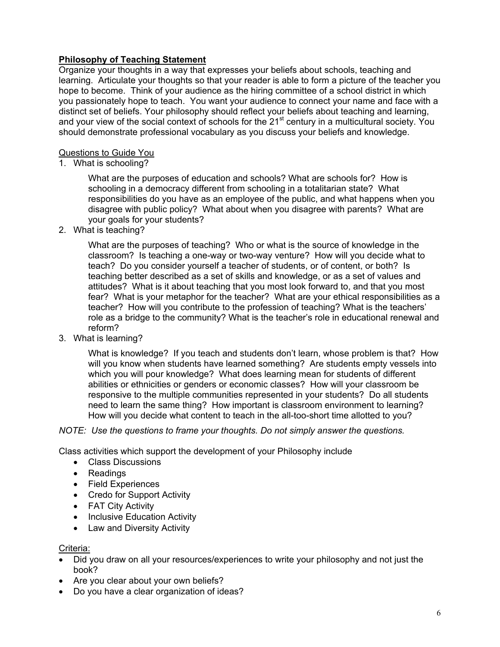## **Philosophy of Teaching Statement**

Organize your thoughts in a way that expresses your beliefs about schools, teaching and learning. Articulate your thoughts so that your reader is able to form a picture of the teacher you hope to become. Think of your audience as the hiring committee of a school district in which you passionately hope to teach. You want your audience to connect your name and face with a distinct set of beliefs. Your philosophy should reflect your beliefs about teaching and learning, and your view of the social context of schools for the 21<sup>st</sup> century in a multicultural society. You should demonstrate professional vocabulary as you discuss your beliefs and knowledge.

### Questions to Guide You

1. What is schooling?

What are the purposes of education and schools? What are schools for? How is schooling in a democracy different from schooling in a totalitarian state? What responsibilities do you have as an employee of the public, and what happens when you disagree with public policy? What about when you disagree with parents? What are your goals for your students?

2. What is teaching?

What are the purposes of teaching? Who or what is the source of knowledge in the classroom? Is teaching a one-way or two-way venture? How will you decide what to teach? Do you consider yourself a teacher of students, or of content, or both? Is teaching better described as a set of skills and knowledge, or as a set of values and attitudes? What is it about teaching that you most look forward to, and that you most fear? What is your metaphor for the teacher? What are your ethical responsibilities as a teacher? How will you contribute to the profession of teaching? What is the teachers' role as a bridge to the community? What is the teacher's role in educational renewal and reform?

3. What is learning?

What is knowledge? If you teach and students don't learn, whose problem is that? How will you know when students have learned something? Are students empty vessels into which you will pour knowledge? What does learning mean for students of different abilities or ethnicities or genders or economic classes? How will your classroom be responsive to the multiple communities represented in your students? Do all students need to learn the same thing? How important is classroom environment to learning? How will you decide what content to teach in the all-too-short time allotted to you?

### *NOTE: Use the questions to frame your thoughts. Do not simply answer the questions.*

Class activities which support the development of your Philosophy include

- Class Discussions
- Readings
- Field Experiences
- Credo for Support Activity
- FAT City Activity
- Inclusive Education Activity
- Law and Diversity Activity

### Criteria:

- Did you draw on all your resources/experiences to write your philosophy and not just the book?
- Are you clear about your own beliefs?
- Do you have a clear organization of ideas?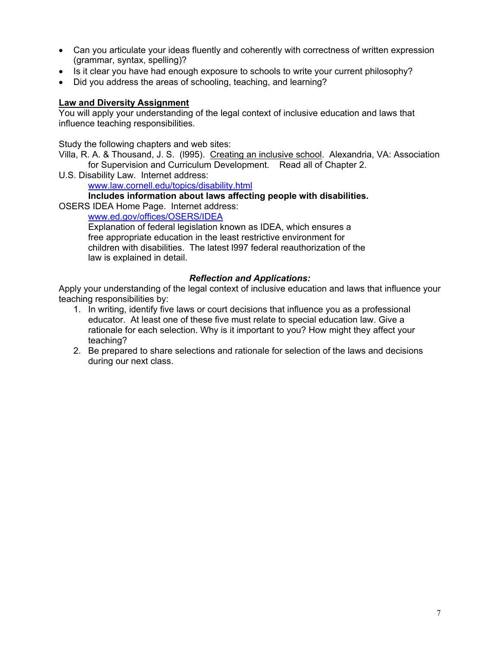- Can you articulate your ideas fluently and coherently with correctness of written expression (grammar, syntax, spelling)?
- Is it clear you have had enough exposure to schools to write your current philosophy?
- Did you address the areas of schooling, teaching, and learning?

### **Law and Diversity Assignment**

You will apply your understanding of the legal context of inclusive education and laws that influence teaching responsibilities.

Study the following chapters and web sites:

Villa, R. A. & Thousand, J. S. (l995). Creating an inclusive school. Alexandria, VA: Association for Supervision and Curriculum Development. Read all of Chapter 2.

U.S. Disability Law. Internet address:

www.law.cornell.edu/topics/disability.html

## **Includes information about laws affecting people with disabilities.**

OSERS IDEA Home Page. Internet address:

www.ed.gov/offices/OSERS/IDEA

Explanation of federal legislation known as IDEA, which ensures a free appropriate education in the least restrictive environment for children with disabilities. The latest l997 federal reauthorization of the law is explained in detail.

### *Reflection and Applications:*

Apply your understanding of the legal context of inclusive education and laws that influence your teaching responsibilities by:

- 1. In writing, identify five laws or court decisions that influence you as a professional educator. At least one of these five must relate to special education law. Give a rationale for each selection. Why is it important to you? How might they affect your teaching?
- 2. Be prepared to share selections and rationale for selection of the laws and decisions during our next class.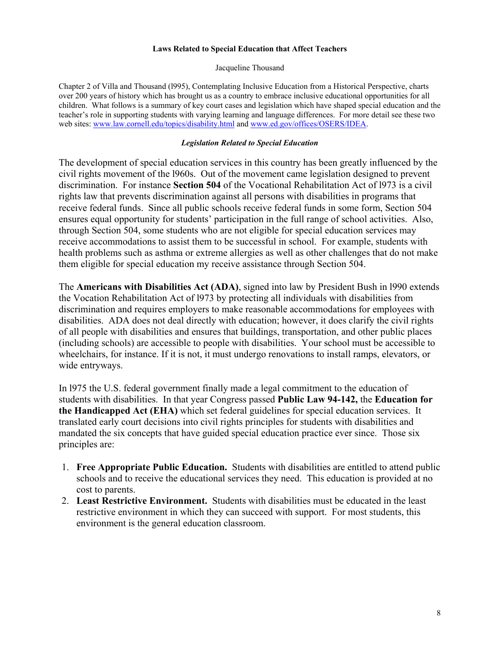#### **Laws Related to Special Education that Affect Teachers**

Jacqueline Thousand

Chapter 2 of Villa and Thousand (l995), Contemplating Inclusive Education from a Historical Perspective, charts over 200 years of history which has brought us as a country to embrace inclusive educational opportunities for all children. What follows is a summary of key court cases and legislation which have shaped special education and the teacher's role in supporting students with varying learning and language differences. For more detail see these two web sites: www.law.cornell.edu/topics/disability.html and www.ed.gov/offices/OSERS/IDEA.

#### *Legislation Related to Special Education*

The development of special education services in this country has been greatly influenced by the civil rights movement of the l960s. Out of the movement came legislation designed to prevent discrimination. For instance **Section 504** of the Vocational Rehabilitation Act of l973 is a civil rights law that prevents discrimination against all persons with disabilities in programs that receive federal funds. Since all public schools receive federal funds in some form, Section 504 ensures equal opportunity for students' participation in the full range of school activities. Also, through Section 504, some students who are not eligible for special education services may receive accommodations to assist them to be successful in school. For example, students with health problems such as asthma or extreme allergies as well as other challenges that do not make them eligible for special education my receive assistance through Section 504.

The **Americans with Disabilities Act (ADA)**, signed into law by President Bush in l990 extends the Vocation Rehabilitation Act of l973 by protecting all individuals with disabilities from discrimination and requires employers to make reasonable accommodations for employees with disabilities. ADA does not deal directly with education; however, it does clarify the civil rights of all people with disabilities and ensures that buildings, transportation, and other public places (including schools) are accessible to people with disabilities. Your school must be accessible to wheelchairs, for instance. If it is not, it must undergo renovations to install ramps, elevators, or wide entryways.

In l975 the U.S. federal government finally made a legal commitment to the education of students with disabilities. In that year Congress passed **Public Law 94-142,** the **Education for the Handicapped Act (EHA)** which set federal guidelines for special education services. It translated early court decisions into civil rights principles for students with disabilities and mandated the six concepts that have guided special education practice ever since. Those six principles are:

- 1. **Free Appropriate Public Education.** Students with disabilities are entitled to attend public schools and to receive the educational services they need. This education is provided at no cost to parents.
- 2. **Least Restrictive Environment.** Students with disabilities must be educated in the least restrictive environment in which they can succeed with support. For most students, this environment is the general education classroom.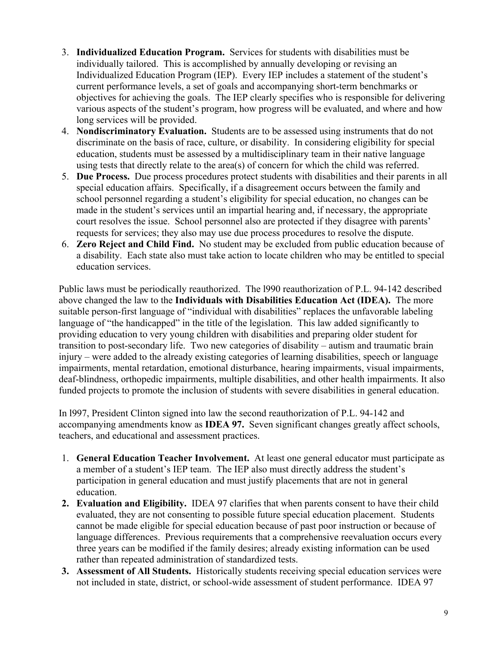- 3. **Individualized Education Program.** Services for students with disabilities must be individually tailored. This is accomplished by annually developing or revising an Individualized Education Program (IEP). Every IEP includes a statement of the student's current performance levels, a set of goals and accompanying short-term benchmarks or objectives for achieving the goals. The IEP clearly specifies who is responsible for delivering various aspects of the student's program, how progress will be evaluated, and where and how long services will be provided.
- 4. **Nondiscriminatory Evaluation.** Students are to be assessed using instruments that do not discriminate on the basis of race, culture, or disability. In considering eligibility for special education, students must be assessed by a multidisciplinary team in their native language using tests that directly relate to the area(s) of concern for which the child was referred.
- 5. **Due Process.** Due process procedures protect students with disabilities and their parents in all special education affairs. Specifically, if a disagreement occurs between the family and school personnel regarding a student's eligibility for special education, no changes can be made in the student's services until an impartial hearing and, if necessary, the appropriate court resolves the issue. School personnel also are protected if they disagree with parents' requests for services; they also may use due process procedures to resolve the dispute.
- 6. **Zero Reject and Child Find.** No student may be excluded from public education because of a disability. Each state also must take action to locate children who may be entitled to special education services.

Public laws must be periodically reauthorized. The l990 reauthorization of P.L. 94-142 described above changed the law to the **Individuals with Disabilities Education Act (IDEA).** The more suitable person-first language of "individual with disabilities" replaces the unfavorable labeling language of "the handicapped" in the title of the legislation. This law added significantly to providing education to very young children with disabilities and preparing older student for transition to post-secondary life. Two new categories of disability – autism and traumatic brain injury – were added to the already existing categories of learning disabilities, speech or language impairments, mental retardation, emotional disturbance, hearing impairments, visual impairments, deaf-blindness, orthopedic impairments, multiple disabilities, and other health impairments. It also funded projects to promote the inclusion of students with severe disabilities in general education.

In l997, President Clinton signed into law the second reauthorization of P.L. 94-142 and accompanying amendments know as **IDEA 97.** Seven significant changes greatly affect schools, teachers, and educational and assessment practices.

- 1. **General Education Teacher Involvement.** At least one general educator must participate as a member of a student's IEP team. The IEP also must directly address the student's participation in general education and must justify placements that are not in general education.
- **2. Evaluation and Eligibility.** IDEA 97 clarifies that when parents consent to have their child evaluated, they are not consenting to possible future special education placement. Students cannot be made eligible for special education because of past poor instruction or because of language differences.Previous requirements that a comprehensive reevaluation occurs every three years can be modified if the family desires; already existing information can be used rather than repeated administration of standardized tests.
- **3. Assessment of All Students.** Historically students receiving special education services were not included in state, district, or school-wide assessment of student performance. IDEA 97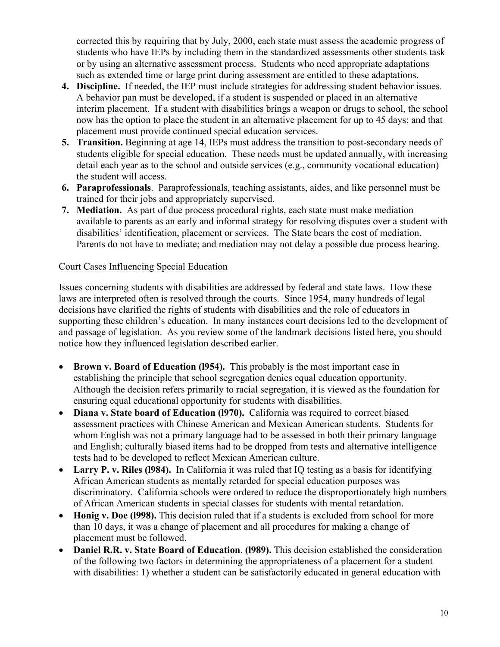corrected this by requiring that by July, 2000, each state must assess the academic progress of students who have IEPs by including them in the standardized assessments other students task or by using an alternative assessment process. Students who need appropriate adaptations such as extended time or large print during assessment are entitled to these adaptations.

- **4. Discipline.** If needed, the IEP must include strategies for addressing student behavior issues. A behavior pan must be developed, if a student is suspended or placed in an alternative interim placement. If a student with disabilities brings a weapon or drugs to school, the school now has the option to place the student in an alternative placement for up to 45 days; and that placement must provide continued special education services.
- **5. Transition.** Beginning at age 14, IEPs must address the transition to post-secondary needs of students eligible for special education. These needs must be updated annually, with increasing detail each year as to the school and outside services (e.g., community vocational education) the student will access.
- **6. Paraprofessionals**. Paraprofessionals, teaching assistants, aides, and like personnel must be trained for their jobs and appropriately supervised.
- **7. Mediation.** As part of due process procedural rights, each state must make mediation available to parents as an early and informal strategy for resolving disputes over a student with disabilities' identification, placement or services. The State bears the cost of mediation. Parents do not have to mediate; and mediation may not delay a possible due process hearing.

## Court Cases Influencing Special Education

Issues concerning students with disabilities are addressed by federal and state laws. How these laws are interpreted often is resolved through the courts. Since 1954, many hundreds of legal decisions have clarified the rights of students with disabilities and the role of educators in supporting these children's education. In many instances court decisions led to the development of and passage of legislation. As you review some of the landmark decisions listed here, you should notice how they influenced legislation described earlier.

- **Brown v. Board of Education (l954).** This probably is the most important case in establishing the principle that school segregation denies equal education opportunity. Although the decision refers primarily to racial segregation, it is viewed as the foundation for ensuring equal educational opportunity for students with disabilities.
- **Diana v. State board of Education (l970).** California was required to correct biased assessment practices with Chinese American and Mexican American students. Students for whom English was not a primary language had to be assessed in both their primary language and English; culturally biased items had to be dropped from tests and alternative intelligence tests had to be developed to reflect Mexican American culture.
- Larry P. v. Riles (1984). In California it was ruled that IQ testing as a basis for identifying African American students as mentally retarded for special education purposes was discriminatory. California schools were ordered to reduce the disproportionately high numbers of African American students in special classes for students with mental retardation.
- **Honig v. Doe (1998).** This decision ruled that if a students is excluded from school for more than 10 days, it was a change of placement and all procedures for making a change of placement must be followed.
- **Daniel R.R. v. State Board of Education**. **(l989).** This decision established the consideration of the following two factors in determining the appropriateness of a placement for a student with disabilities: 1) whether a student can be satisfactorily educated in general education with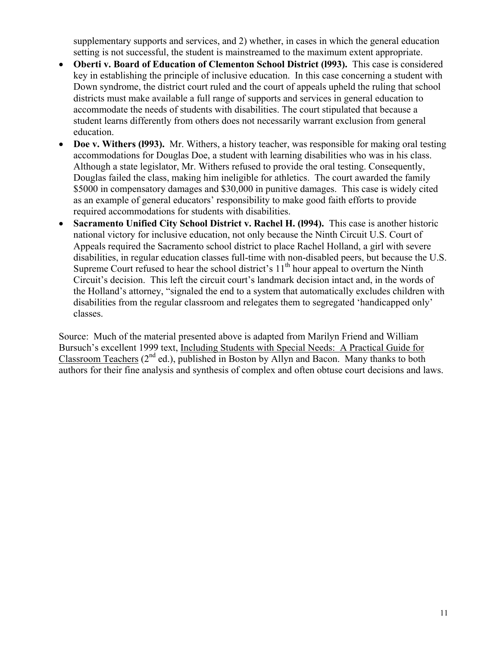supplementary supports and services, and 2) whether, in cases in which the general education setting is not successful, the student is mainstreamed to the maximum extent appropriate.

- **Oberti v. Board of Education of Clementon School District (l993).** This case is considered key in establishing the principle of inclusive education. In this case concerning a student with Down syndrome, the district court ruled and the court of appeals upheld the ruling that school districts must make available a full range of supports and services in general education to accommodate the needs of students with disabilities. The court stipulated that because a student learns differently from others does not necessarily warrant exclusion from general education.
- **Doe v. Withers (l993).** Mr. Withers, a history teacher, was responsible for making oral testing accommodations for Douglas Doe, a student with learning disabilities who was in his class. Although a state legislator, Mr. Withers refused to provide the oral testing. Consequently, Douglas failed the class, making him ineligible for athletics. The court awarded the family \$5000 in compensatory damages and \$30,000 in punitive damages. This case is widely cited as an example of general educators' responsibility to make good faith efforts to provide required accommodations for students with disabilities.
- **Sacramento Unified City School District v. Rachel H. (l994).** This case is another historic national victory for inclusive education, not only because the Ninth Circuit U.S. Court of Appeals required the Sacramento school district to place Rachel Holland, a girl with severe disabilities, in regular education classes full-time with non-disabled peers, but because the U.S. Supreme Court refused to hear the school district's  $11<sup>th</sup>$  hour appeal to overturn the Ninth Circuit's decision. This left the circuit court's landmark decision intact and, in the words of the Holland's attorney, "signaled the end to a system that automatically excludes children with disabilities from the regular classroom and relegates them to segregated 'handicapped only' classes.

Source: Much of the material presented above is adapted from Marilyn Friend and William Bursuch's excellent 1999 text, Including Students with Special Needs: A Practical Guide for Classroom Teachers  $(2^{nd}$  ed.), published in Boston by Allyn and Bacon. Many thanks to both authors for their fine analysis and synthesis of complex and often obtuse court decisions and laws.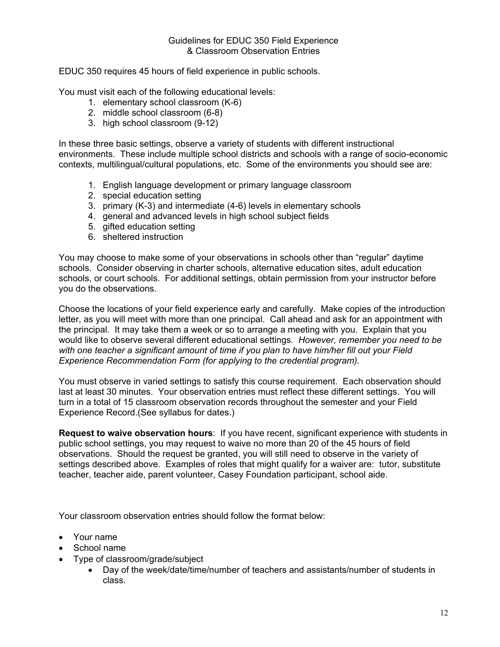EDUC 350 requires 45 hours of field experience in public schools.

You must visit each of the following educational levels:

- 1. elementary school classroom (K-6)
- 2. middle school classroom (6-8)
- 3. high school classroom (9-12)

In these three basic settings, observe a variety of students with different instructional environments. These include multiple school districts and schools with a range of socio-economic contexts, multilingual/cultural populations, etc. Some of the environments you should see are:

- 1. English language development or primary language classroom
- 2. special education setting
- 3. primary (K-3) and intermediate (4-6) levels in elementary schools
- 4. general and advanced levels in high school subject fields
- 5. gifted education setting
- 6. sheltered instruction

You may choose to make some of your observations in schools other than "regular" daytime schools. Consider observing in charter schools, alternative education sites, adult education schools, or court schools. For additional settings, obtain permission from your instructor before you do the observations.

Choose the locations of your field experience early and carefully. Make copies of the introduction letter, as you will meet with more than one principal. Call ahead and ask for an appointment with the principal. It may take them a week or so to arrange a meeting with you. Explain that you would like to observe several different educational settings. *However, remember you need to be with one teacher a significant amount of time if you plan to have him/her fill out your Field Experience Recommendation Form (for applying to the credential program).* 

You must observe in varied settings to satisfy this course requirement. Each observation should last at least 30 minutes. Your observation entries must reflect these different settings. You will turn in a total of 15 classroom observation records throughout the semester and your Field Experience Record.(See syllabus for dates.)

**Request to waive observation hours**: If you have recent, significant experience with students in public school settings, you may request to waive no more than 20 of the 45 hours of field observations. Should the request be granted, you will still need to observe in the variety of settings described above. Examples of roles that might qualify for a waiver are: tutor, substitute teacher, teacher aide, parent volunteer, Casey Foundation participant, school aide.

Your classroom observation entries should follow the format below:

- Your name
- School name
- Type of classroom/grade/subject
	- Day of the week/date/time/number of teachers and assistants/number of students in class.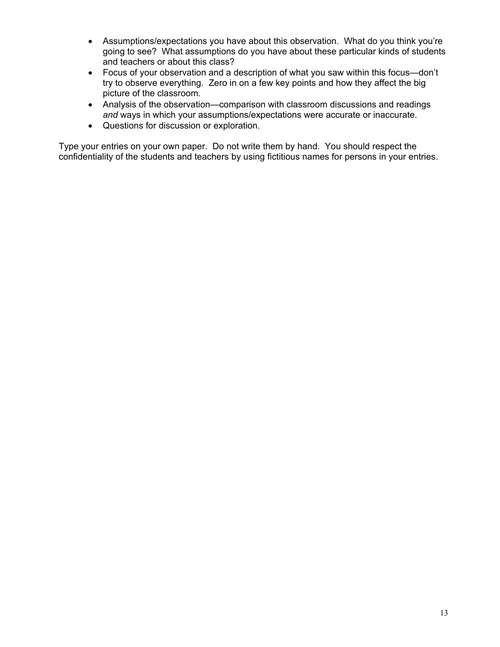- Assumptions/expectations you have about this observation. What do you think you're going to see? What assumptions do you have about these particular kinds of students and teachers or about this class?
- Focus of your observation and a description of what you saw within this focus—don't try to observe everything. Zero in on a few key points and how they affect the big picture of the classroom.
- Analysis of the observation—comparison with classroom discussions and readings *and* ways in which your assumptions/expectations were accurate or inaccurate.
- Questions for discussion or exploration.

Type your entries on your own paper. Do not write them by hand. You should respect the confidentiality of the students and teachers by using fictitious names for persons in your entries.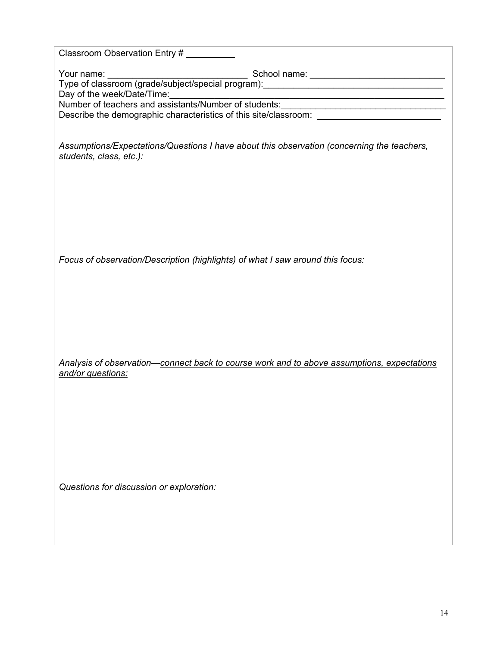| Classroom Observation Entry #                                                                                                                           |
|---------------------------------------------------------------------------------------------------------------------------------------------------------|
| Day of the week/Date/Time:<br>Number of teachers and assistants/Number of students:<br>Describe the demographic characteristics of this site/classroom: |
| Assumptions/Expectations/Questions I have about this observation (concerning the teachers,<br>students, class, etc.):                                   |
| Focus of observation/Description (highlights) of what I saw around this focus:                                                                          |
| Analysis of observation-connect back to course work and to above assumptions, expectations<br>and/or questions:                                         |
| Questions for discussion or exploration:                                                                                                                |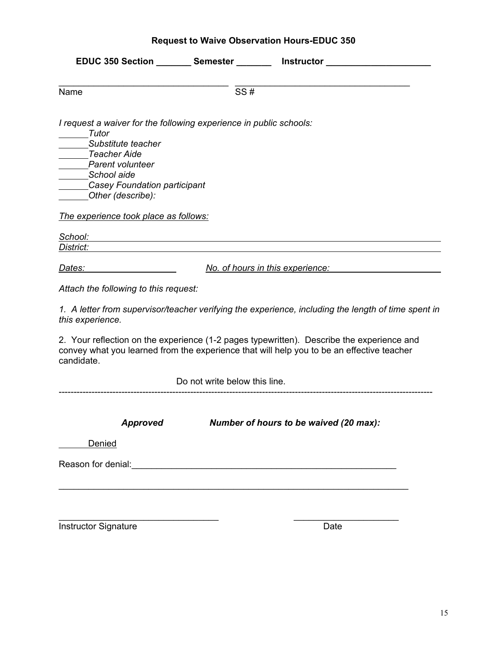|  |  | <b>Request to Waive Observation Hours-EDUC 350</b> |  |  |
|--|--|----------------------------------------------------|--|--|
|--|--|----------------------------------------------------|--|--|

|                                                                                                                                                                                                           |                               | EDUC 350 Section ________ Semester ________ Instructor _______________                                                                                                                 |
|-----------------------------------------------------------------------------------------------------------------------------------------------------------------------------------------------------------|-------------------------------|----------------------------------------------------------------------------------------------------------------------------------------------------------------------------------------|
| Name                                                                                                                                                                                                      | SS#                           |                                                                                                                                                                                        |
| I request a waiver for the following experience in public schools:<br>Tutor<br>Substitute teacher<br>Teacher Aide<br>Parent volunteer<br>School aide<br>Casey Foundation participant<br>Other (describe): |                               |                                                                                                                                                                                        |
| The experience took place as follows:                                                                                                                                                                     |                               |                                                                                                                                                                                        |
| School:<br>District:                                                                                                                                                                                      |                               |                                                                                                                                                                                        |
| <u>Dates:</u>                                                                                                                                                                                             |                               | No. of hours in this experience:                                                                                                                                                       |
| Attach the following to this request:                                                                                                                                                                     |                               |                                                                                                                                                                                        |
| this experience.                                                                                                                                                                                          |                               | 1. A letter from supervisor/teacher verifying the experience, including the length of time spent in                                                                                    |
| candidate.                                                                                                                                                                                                |                               | 2. Your reflection on the experience (1-2 pages typewritten). Describe the experience and<br>convey what you learned from the experience that will help you to be an effective teacher |
|                                                                                                                                                                                                           | Do not write below this line. |                                                                                                                                                                                        |
| <b>Approved</b>                                                                                                                                                                                           |                               | Number of hours to be waived (20 max):                                                                                                                                                 |
| Denied                                                                                                                                                                                                    |                               |                                                                                                                                                                                        |
| Reason for denial:                                                                                                                                                                                        |                               |                                                                                                                                                                                        |
|                                                                                                                                                                                                           |                               |                                                                                                                                                                                        |
| <b>Instructor Signature</b>                                                                                                                                                                               |                               | Date                                                                                                                                                                                   |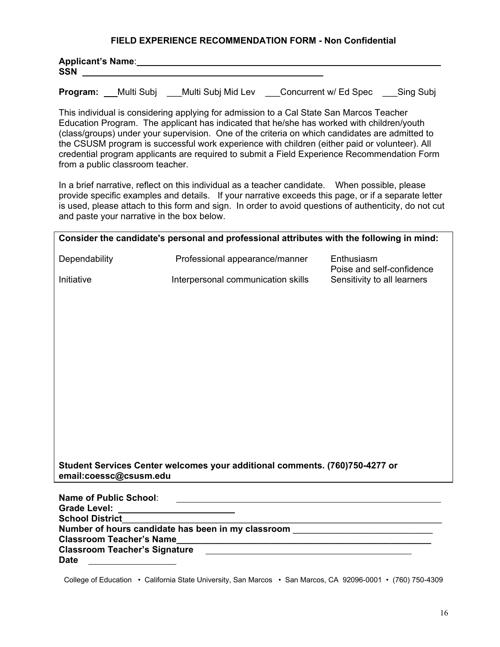### **FIELD EXPERIENCE RECOMMENDATION FORM - Non Confidential**

| Applicant's Name: |           |            |  |     |
|-------------------|-----------|------------|--|-----|
| <b>SSN</b>        |           |            |  |     |
|                   | _________ | __________ |  | ___ |

**Program:** Multi Subj \_\_\_Multi Subj Mid Lev \_\_\_Concurrent w/ Ed Spec \_\_\_Sing Subj

This individual is considering applying for admission to a Cal State San Marcos Teacher Education Program. The applicant has indicated that he/she has worked with children/youth (class/groups) under your supervision. One of the criteria on which candidates are admitted to the CSUSM program is successful work experience with children (either paid or volunteer). All credential program applicants are required to submit a Field Experience Recommendation Form from a public classroom teacher.

 In a brief narrative, reflect on this individual as a teacher candidate. When possible, please provide specific examples and details. If your narrative exceeds this page, or if a separate letter is used, please attach to this form and sign. In order to avoid questions of authenticity, do not cut and paste your narrative in the box below.

| Consider the candidate's personal and professional attributes with the following in mind: |                                                                                 |                                         |  |  |  |
|-------------------------------------------------------------------------------------------|---------------------------------------------------------------------------------|-----------------------------------------|--|--|--|
| Dependability                                                                             | Professional appearance/manner                                                  | Enthusiasm<br>Poise and self-confidence |  |  |  |
| Initiative                                                                                | Interpersonal communication skills                                              | Sensitivity to all learners             |  |  |  |
|                                                                                           |                                                                                 |                                         |  |  |  |
|                                                                                           |                                                                                 |                                         |  |  |  |
|                                                                                           |                                                                                 |                                         |  |  |  |
|                                                                                           |                                                                                 |                                         |  |  |  |
|                                                                                           |                                                                                 |                                         |  |  |  |
|                                                                                           |                                                                                 |                                         |  |  |  |
|                                                                                           |                                                                                 |                                         |  |  |  |
|                                                                                           |                                                                                 |                                         |  |  |  |
|                                                                                           |                                                                                 |                                         |  |  |  |
|                                                                                           | Student Services Center welcomes your additional comments. (760)750-4277 or     |                                         |  |  |  |
| email:coessc@csusm.edu                                                                    |                                                                                 |                                         |  |  |  |
| <b>Name of Public School:</b>                                                             | the contract of the contract of the contract of the contract of the contract of |                                         |  |  |  |
| Grade Level: _________________________<br><b>School District</b>                          |                                                                                 |                                         |  |  |  |
| Number of hours candidate has been in my classroom _____________________________          |                                                                                 |                                         |  |  |  |
|                                                                                           |                                                                                 |                                         |  |  |  |
| <b>Classroom Teacher's Signature</b>                                                      |                                                                                 |                                         |  |  |  |

**Date**

College of Education • California State University, San Marcos • San Marcos, CA 92096-0001 • (760) 750-4309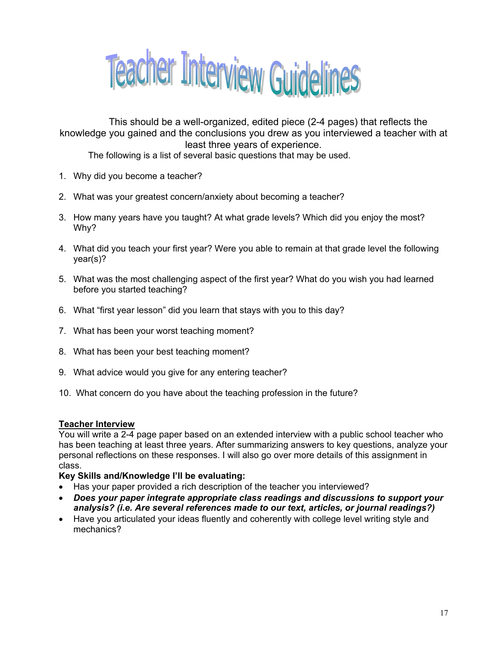

 This should be a well-organized, edited piece (2-4 pages) that reflects the knowledge you gained and the conclusions you drew as you interviewed a teacher with at least three years of experience.

The following is a list of several basic questions that may be used.

- 1. Why did you become a teacher?
- 2. What was your greatest concern/anxiety about becoming a teacher?
- 3. How many years have you taught? At what grade levels? Which did you enjoy the most? Why?
- 4. What did you teach your first year? Were you able to remain at that grade level the following year(s)?
- 5. What was the most challenging aspect of the first year? What do you wish you had learned before you started teaching?
- 6. What "first year lesson" did you learn that stays with you to this day?
- 7. What has been your worst teaching moment?
- 8. What has been your best teaching moment?
- 9. What advice would you give for any entering teacher?
- 10. What concern do you have about the teaching profession in the future?

### **Teacher Interview**

You will write a 2-4 page paper based on an extended interview with a public school teacher who has been teaching at least three years. After summarizing answers to key questions, analyze your personal reflections on these responses. I will also go over more details of this assignment in class.

### **Key Skills and/Knowledge I'll be evaluating:**

- Has your paper provided a rich description of the teacher you interviewed?
- *Does your paper integrate appropriate class readings and discussions to support your analysis? (i.e. Are several references made to our text, articles, or journal readings?)*
- Have you articulated your ideas fluently and coherently with college level writing style and mechanics?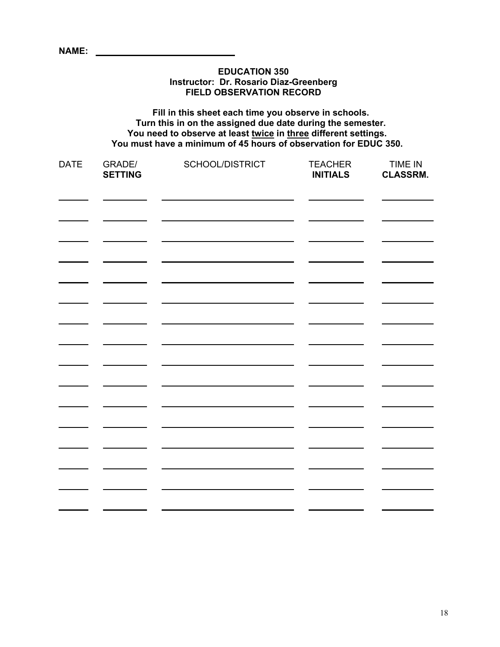| <b>EDUCATION 350</b><br>Instructor: Dr. Rosario Diaz-Greenberg<br><b>FIELD OBSERVATION RECORD</b> |                                                                                                                                                                                                                                                           |                        |                                   |                                   |  |  |
|---------------------------------------------------------------------------------------------------|-----------------------------------------------------------------------------------------------------------------------------------------------------------------------------------------------------------------------------------------------------------|------------------------|-----------------------------------|-----------------------------------|--|--|
|                                                                                                   | Fill in this sheet each time you observe in schools.<br>Turn this in on the assigned due date during the semester.<br>You need to observe at least twice in three different settings.<br>You must have a minimum of 45 hours of observation for EDUC 350. |                        |                                   |                                   |  |  |
| <b>DATE</b>                                                                                       | GRADE/<br><b>SETTING</b>                                                                                                                                                                                                                                  | <b>SCHOOL/DISTRICT</b> | <b>TEACHER</b><br><b>INITIALS</b> | <b>TIME IN</b><br><b>CLASSRM.</b> |  |  |
|                                                                                                   |                                                                                                                                                                                                                                                           |                        |                                   |                                   |  |  |
|                                                                                                   |                                                                                                                                                                                                                                                           |                        |                                   |                                   |  |  |
|                                                                                                   |                                                                                                                                                                                                                                                           |                        |                                   |                                   |  |  |
|                                                                                                   |                                                                                                                                                                                                                                                           |                        |                                   |                                   |  |  |
|                                                                                                   |                                                                                                                                                                                                                                                           |                        |                                   |                                   |  |  |
|                                                                                                   |                                                                                                                                                                                                                                                           |                        |                                   |                                   |  |  |

<u> 1989 - Johann Barnett, fransk politiker (d. 1989)</u>

**NAME:** 

 $\overline{\phantom{a}}$  and  $\overline{\phantom{a}}$  and  $\overline{\phantom{a}}$ 

 $\begin{array}{c} \begin{array}{c} \begin{array}{c} \begin{array}{c} \end{array} \\ \end{array} \end{array} \end{array}$ 

 $\overline{\phantom{a}}$